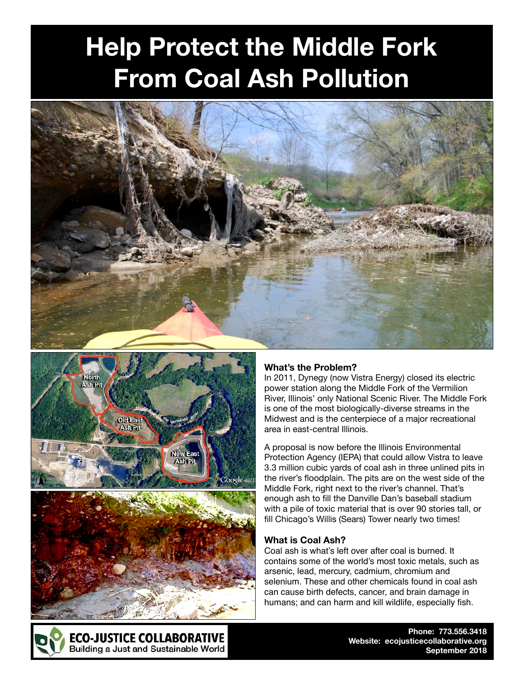# **Help Protect the Middle Fork From Coal Ash Pollution**







# **What's the Problem?**

In 2011, Dynegy (now Vistra Energy) closed its electric power station along the Middle Fork of the Vermilion River, Illinois' only National Scenic River. The Middle Fork is one of the most biologically-diverse streams in the Midwest and is the centerpiece of a major recreational area in east-central Illinois.

A proposal is now before the Illinois Environmental Protection Agency (IEPA) that could allow Vistra to leave 3.3 million cubic yards of coal ash in three unlined pits in the river's floodplain. The pits are on the west side of the Middle Fork, right next to the river's channel. That's enough ash to fill the Danville Dan's baseball stadium with a pile of toxic material that is over 90 stories tall, or fill Chicago's Willis (Sears) Tower nearly two times!

#### **What is Coal Ash?**

Coal ash is what's left over after coal is burned. It contains some of the world's most toxic metals, such as arsenic, lead, mercury, cadmium, chromium and selenium. These and other chemicals found in coal ash can cause birth defects, cancer, and brain damage in humans; and can harm and kill wildlife, especially fish.



**Phone: 773.556.3418 Website: ecojusticecollaborative.org September 2018**